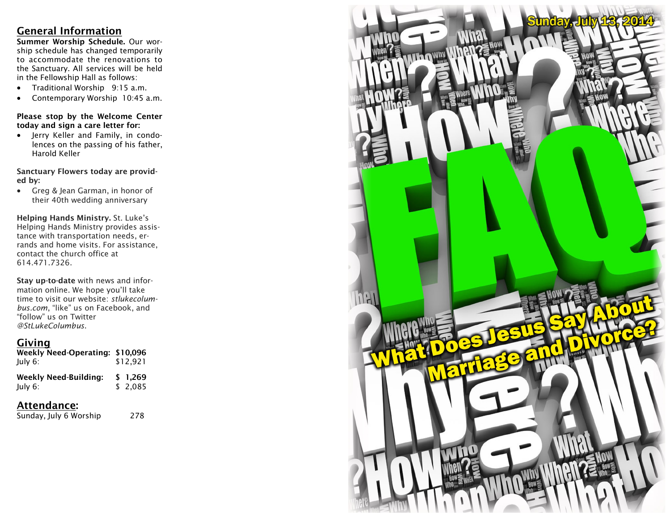## **General Information**

**Summer Worship Schedule.** Our worship schedule has changed temporarily to accommodate the renovations to the Sanctuary. All services will be held in the Fellowship Hall as follows:

- Traditional Worship 9:15 a.m.
- Contemporary Worship 10:45 a.m.

#### **Please stop by the Welcome Center today and sign a care letter for:**

 Jerry Keller and Family, in condolences on the passing of his father, Harold Keller

#### **Sanctuary Flowers today are provided by:**

 Greg & Jean Garman, in honor of their 40th wedding anniversary

**Helping Hands Ministry.** St. Luke's Helping Hands Ministry provides assistance with transportation needs, errands and home visits. For assistance, contact the church office at 614.471.7326.

**Stay up-to-date** with news and information online. We hope you'll take time to visit our website: *stlukecolumbus.com*, "like" us on Facebook, and "follow" us on Twitter *@StLukeColumbus*.

## **Giving**

| Weekly Need-Operating: \$10,096<br>July 6: | \$12,921            |
|--------------------------------------------|---------------------|
| <b>Weekly Need-Building:</b><br>July 6:    | \$ 1.269<br>\$2.085 |

## **Attendance:**

Sunday, July 6 Worship 278